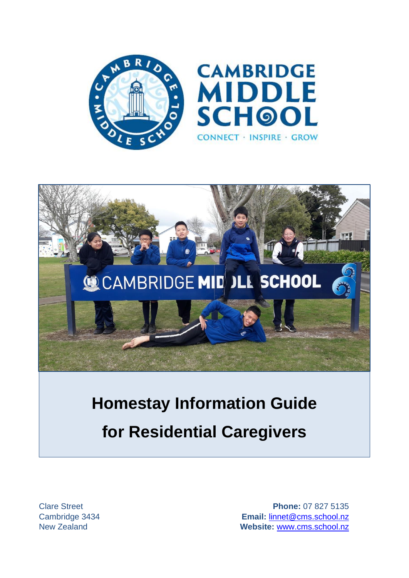



# **Homestay Information Guide for Residential Caregivers**

Clare Street **Phone:** 07 827 5135 Cambridge 3434 **Email:** [linnet@cms.school.nz](mailto:linnet@cms.school.nz) New Zealand **Website:** <www.cms.school.nz>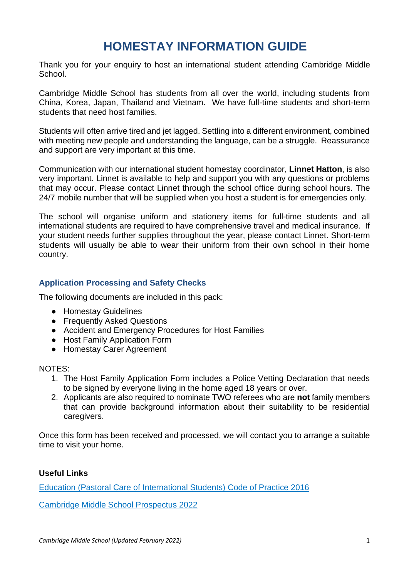# **HOMESTAY INFORMATION GUIDE**

Thank you for your enquiry to host an international student attending Cambridge Middle School.

Cambridge Middle School has students from all over the world, including students from China, Korea, Japan, Thailand and Vietnam. We have full-time students and short-term students that need host families.

Students will often arrive tired and jet lagged. Settling into a different environment, combined with meeting new people and understanding the language, can be a struggle. Reassurance and support are very important at this time.

Communication with our international student homestay coordinator, **Linnet Hatton**, is also very important. Linnet is available to help and support you with any questions or problems that may occur. Please contact Linnet through the school office during school hours. The 24/7 mobile number that will be supplied when you host a student is for emergencies only.

The school will organise uniform and stationery items for full-time students and all international students are required to have comprehensive travel and medical insurance. If your student needs further supplies throughout the year, please contact Linnet. Short-term students will usually be able to wear their uniform from their own school in their home country.

# **Application Processing and Safety Checks**

The following documents are included in this pack:

- Homestay Guidelines
- Frequently Asked Questions
- Accident and Emergency Procedures for Host Families
- Host Family Application Form
- Homestay Carer Agreement

### NOTES:

- 1. The Host Family Application Form includes a Police Vetting Declaration that needs to be signed by everyone living in the home aged 18 years or over.
- 2. Applicants are also required to nominate TWO referees who are **not** family members that can provide background information about their suitability to be residential caregivers.

Once this form has been received and processed, we will contact you to arrange a suitable time to visit your home.

# **Useful Links**

[Education \(Pastoral Care of International Students\) Code of Practice 2016](https://www.nzqa.govt.nz/providers-partners/education-code-of-practice/)

[Cambridge Middle School Prospectus 2022](https://www.cms.school.nz/site_files/16098/upload_files/2022CMSProspectusFINAL(1).pdf?dl=1)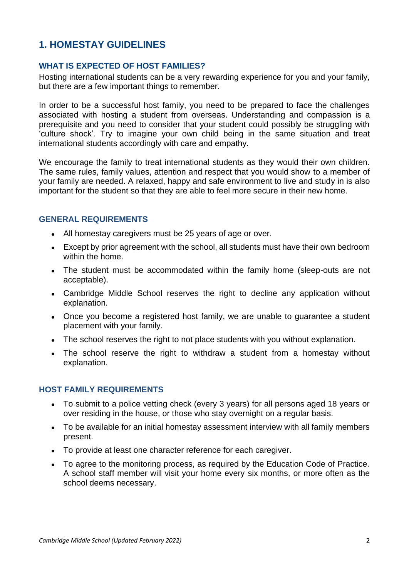# **1. HOMESTAY GUIDELINES**

# **WHAT IS EXPECTED OF HOST FAMILIES?**

Hosting international students can be a very rewarding experience for you and your family, but there are a few important things to remember.

In order to be a successful host family, you need to be prepared to face the challenges associated with hosting a student from overseas. Understanding and compassion is a prerequisite and you need to consider that your student could possibly be struggling with 'culture shock'. Try to imagine your own child being in the same situation and treat international students accordingly with care and empathy.

We encourage the family to treat international students as they would their own children. The same rules, family values, attention and respect that you would show to a member of your family are needed. A relaxed, happy and safe environment to live and study in is also important for the student so that they are able to feel more secure in their new home.

# **GENERAL REQUIREMENTS**

- All homestay caregivers must be 25 years of age or over.
- Except by prior agreement with the school, all students must have their own bedroom within the home.
- The student must be accommodated within the family home (sleep-outs are not acceptable).
- Cambridge Middle School reserves the right to decline any application without explanation.
- Once you become a registered host family, we are unable to quarantee a student placement with your family.
- The school reserves the right to not place students with you without explanation.
- The school reserve the right to withdraw a student from a homestay without explanation.

# **HOST FAMILY REQUIREMENTS**

- To submit to a police vetting check (every 3 years) for all persons aged 18 years or over residing in the house, or those who stay overnight on a regular basis.
- To be available for an initial homestay assessment interview with all family members present.
- To provide at least one character reference for each caregiver.
- To agree to the monitoring process, as required by the Education Code of Practice. A school staff member will visit your home every six months, or more often as the school deems necessary.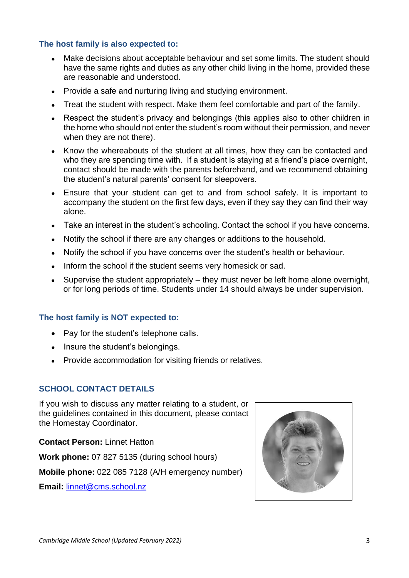# **The host family is also expected to:**

- Make decisions about acceptable behaviour and set some limits. The student should have the same rights and duties as any other child living in the home, provided these are reasonable and understood.
- Provide a safe and nurturing living and studying environment.
- Treat the student with respect. Make them feel comfortable and part of the family.
- Respect the student's privacy and belongings (this applies also to other children in the home who should not enter the student's room without their permission, and never when they are not there).
- Know the whereabouts of the student at all times, how they can be contacted and who they are spending time with. If a student is staying at a friend's place overnight, contact should be made with the parents beforehand, and we recommend obtaining the student's natural parents' consent for sleepovers.
- Ensure that your student can get to and from school safely. It is important to accompany the student on the first few days, even if they say they can find their way alone.
- Take an interest in the student's schooling. Contact the school if you have concerns.
- Notify the school if there are any changes or additions to the household.
- Notify the school if you have concerns over the student's health or behaviour.
- Inform the school if the student seems very homesick or sad.
- Supervise the student appropriately  $-$  they must never be left home alone overnight, or for long periods of time. Students under 14 should always be under supervision.

### **The host family is NOT expected to:**

- Pay for the student's telephone calls.
- Insure the student's belongings.
- Provide accommodation for visiting friends or relatives.

### **SCHOOL CONTACT DETAILS**

If you wish to discuss any matter relating to a student, or the guidelines contained in this document, please contact the Homestay Coordinator.

**Contact Person:** Linnet Hatton

**Work phone:** 07 827 5135 (during school hours)

**Mobile phone:** 022 085 7128 (A/H emergency number)

**Email:** [linnet@cms.school.nz](mailto:linnet@cms.school.nz)

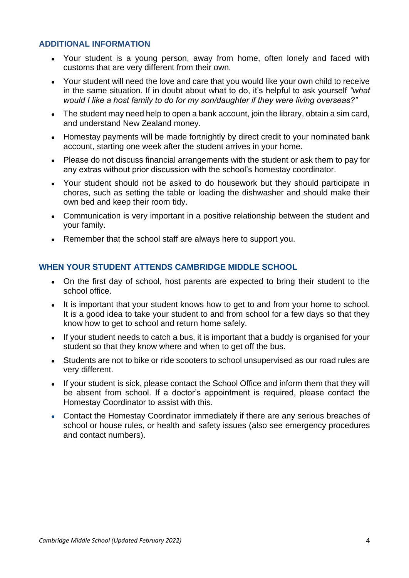# **ADDITIONAL INFORMATION**

- Your student is a young person, away from home, often lonely and faced with customs that are very different from their own.
- Your student will need the love and care that you would like your own child to receive in the same situation. If in doubt about what to do, it's helpful to ask yourself *"what would I like a host family to do for my son/daughter if they were living overseas?"*
- The student may need help to open a bank account, join the library, obtain a sim card, and understand New Zealand money.
- Homestay payments will be made fortnightly by direct credit to your nominated bank account, starting one week after the student arrives in your home.
- Please do not discuss financial arrangements with the student or ask them to pay for any extras without prior discussion with the school's homestay coordinator.
- Your student should not be asked to do housework but they should participate in chores, such as setting the table or loading the dishwasher and should make their own bed and keep their room tidy.
- Communication is very important in a positive relationship between the student and your family.
- Remember that the school staff are always here to support you.

# **WHEN YOUR STUDENT ATTENDS CAMBRIDGE MIDDLE SCHOOL**

- On the first day of school, host parents are expected to bring their student to the school office.
- It is important that your student knows how to get to and from your home to school. It is a good idea to take your student to and from school for a few days so that they know how to get to school and return home safely.
- If your student needs to catch a bus, it is important that a buddy is organised for your student so that they know where and when to get off the bus.
- Students are not to bike or ride scooters to school unsupervised as our road rules are very different.
- If your student is sick, please contact the School Office and inform them that they will be absent from school. If a doctor's appointment is required, please contact the Homestay Coordinator to assist with this.
- Contact the Homestay Coordinator immediately if there are any serious breaches of school or house rules, or health and safety issues (also see emergency procedures and contact numbers).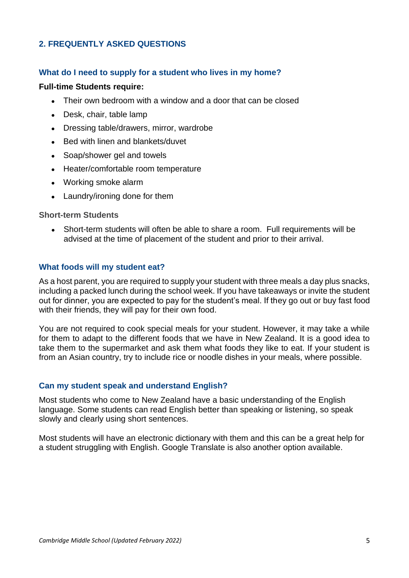# **2. FREQUENTLY ASKED QUESTIONS**

### **What do I need to supply for a student who lives in my home?**

### **Full-time Students require:**

- Their own bedroom with a window and a door that can be closed
- Desk, chair, table lamp
- Dressing table/drawers, mirror, wardrobe
- Bed with linen and blankets/duvet
- Soap/shower gel and towels
- Heater/comfortable room temperature
- Working smoke alarm
- Laundry/ironing done for them

### **Short-term Students**

• Short-term students will often be able to share a room. Full requirements will be advised at the time of placement of the student and prior to their arrival.

### **What foods will my student eat?**

As a host parent, you are required to supply your student with three meals a day plus snacks, including a packed lunch during the school week. If you have takeaways or invite the student out for dinner, you are expected to pay for the student's meal. If they go out or buy fast food with their friends, they will pay for their own food.

You are not required to cook special meals for your student. However, it may take a while for them to adapt to the different foods that we have in New Zealand. It is a good idea to take them to the supermarket and ask them what foods they like to eat. If your student is from an Asian country, try to include rice or noodle dishes in your meals, where possible.

### **Can my student speak and understand English?**

Most students who come to New Zealand have a basic understanding of the English language. Some students can read English better than speaking or listening, so speak slowly and clearly using short sentences.

Most students will have an electronic dictionary with them and this can be a great help for a student struggling with English. Google Translate is also another option available.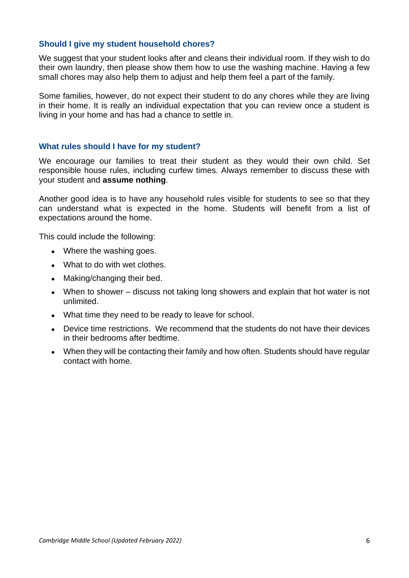# **Should I give my student household chores?**

We suggest that your student looks after and cleans their individual room. If they wish to do their own laundry, then please show them how to use the washing machine. Having a few small chores may also help them to adjust and help them feel a part of the family.

Some families, however, do not expect their student to do any chores while they are living in their home. It is really an individual expectation that you can review once a student is living in your home and has had a chance to settle in.

# **What rules should I have for my student?**

We encourage our families to treat their student as they would their own child. Set responsible house rules, including curfew times. Always remember to discuss these with your student and **assume nothing**.

Another good idea is to have any household rules visible for students to see so that they can understand what is expected in the home. Students will benefit from a list of expectations around the home.

This could include the following:

- Where the washing goes.
- What to do with wet clothes.
- Making/changing their bed.
- When to shower discuss not taking long showers and explain that hot water is not unlimited.
- What time they need to be ready to leave for school.
- Device time restrictions. We recommend that the students do not have their devices in their bedrooms after bedtime.
- When they will be contacting their family and how often. Students should have regular contact with home.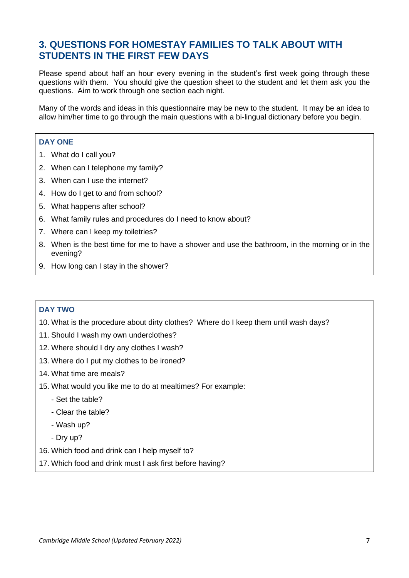# **3. QUESTIONS FOR HOMESTAY FAMILIES TO TALK ABOUT WITH STUDENTS IN THE FIRST FEW DAYS**

Please spend about half an hour every evening in the student's first week going through these questions with them. You should give the question sheet to the student and let them ask you the questions. Aim to work through one section each night.

Many of the words and ideas in this questionnaire may be new to the student. It may be an idea to allow him/her time to go through the main questions with a bi-lingual dictionary before you begin.

### **DAY ONE**

- 1. What do I call you?
- 2. When can I telephone my family?
- 3. When can I use the internet?
- 4. How do I get to and from school?
- 5. What happens after school?
- 6. What family rules and procedures do I need to know about?
- 7. Where can I keep my toiletries?
- 8. When is the best time for me to have a shower and use the bathroom, in the morning or in the evening?
- 9. How long can I stay in the shower?

### **DAY TWO**

- 10. What is the procedure about dirty clothes? Where do I keep them until wash days?
- 11. Should I wash my own underclothes?
- 12. Where should I dry any clothes I wash?
- 13. Where do I put my clothes to be ironed?
- 14. What time are meals?
- 15. What would you like me to do at mealtimes? For example:
	- Set the table?
	- Clear the table?
	- Wash up?
	- Dry up?
- 16. Which food and drink can I help myself to?
- 17. Which food and drink must I ask first before having?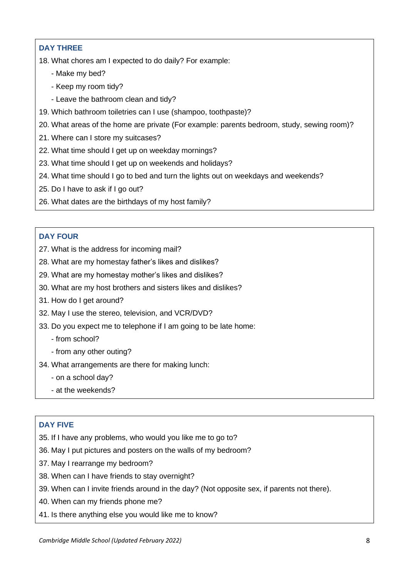# **DAY THREE**

- 18. What chores am I expected to do daily? For example:
	- Make my bed?
	- Keep my room tidy?
	- Leave the bathroom clean and tidy?
- 19. Which bathroom toiletries can I use (shampoo, toothpaste)?
- 20. What areas of the home are private (For example: parents bedroom, study, sewing room)?
- 21. Where can I store my suitcases?
- 22. What time should I get up on weekday mornings?
- 23. What time should I get up on weekends and holidays?
- 24. What time should I go to bed and turn the lights out on weekdays and weekends?
- 25. Do I have to ask if I go out?
- 26. What dates are the birthdays of my host family?

# **DAY FOUR**

- 27. What is the address for incoming mail?
- 28. What are my homestay father's likes and dislikes?
- 29. What are my homestay mother's likes and dislikes?
- 30. What are my host brothers and sisters likes and dislikes?
- 31. How do I get around?
- 32. May I use the stereo, television, and VCR/DVD?
- 33. Do you expect me to telephone if I am going to be late home:
	- from school?
	- from any other outing?
- 34. What arrangements are there for making lunch:
	- on a school day?
	- at the weekends?

### **DAY FIVE**

- 35. If I have any problems, who would you like me to go to?
- 36. May I put pictures and posters on the walls of my bedroom?
- 37. May I rearrange my bedroom?
- 38. When can I have friends to stay overnight?
- 39. When can I invite friends around in the day? (Not opposite sex, if parents not there).
- 40. When can my friends phone me?
- 41. Is there anything else you would like me to know?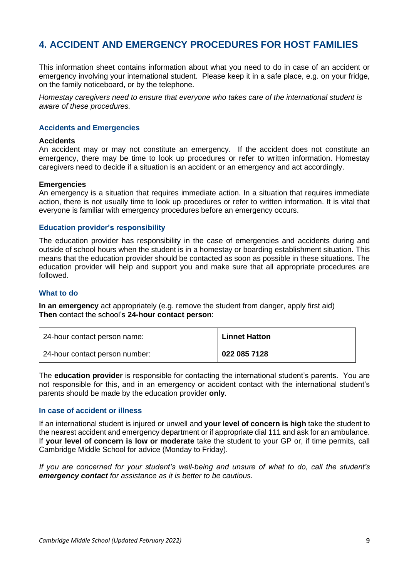# **4. ACCIDENT AND EMERGENCY PROCEDURES FOR HOST FAMILIES**

This information sheet contains information about what you need to do in case of an accident or emergency involving your international student. Please keep it in a safe place, e.g. on your fridge, on the family noticeboard, or by the telephone.

*Homestay caregivers need to ensure that everyone who takes care of the international student is aware of these procedures.*

### **Accidents and Emergencies**

#### **Accidents**

An accident may or may not constitute an emergency. If the accident does not constitute an emergency, there may be time to look up procedures or refer to written information. Homestay caregivers need to decide if a situation is an accident or an emergency and act accordingly.

#### **Emergencies**

An emergency is a situation that requires immediate action. In a situation that requires immediate action, there is not usually time to look up procedures or refer to written information. It is vital that everyone is familiar with emergency procedures before an emergency occurs.

### **Education provider's responsibility**

The education provider has responsibility in the case of emergencies and accidents during and outside of school hours when the student is in a homestay or boarding establishment situation. This means that the education provider should be contacted as soon as possible in these situations. The education provider will help and support you and make sure that all appropriate procedures are followed.

### **What to do**

**In an emergency** act appropriately (e.g. remove the student from danger, apply first aid) **Then** contact the school's **24-hour contact person**:

| 24-hour contact person name:   | <b>Linnet Hatton</b> |
|--------------------------------|----------------------|
| 24-hour contact person number: | 022 085 7128         |

The **education provider** is responsible for contacting the international student's parents. You are not responsible for this, and in an emergency or accident contact with the international student's parents should be made by the education provider **only**.

#### **In case of accident or illness**

If an international student is injured or unwell and **your level of concern is high** take the student to the nearest accident and emergency department or if appropriate dial 111 and ask for an ambulance. If **your level of concern is low or moderate** take the student to your GP or, if time permits, call Cambridge Middle School for advice (Monday to Friday).

*If you are concerned for your student's well-being and unsure of what to do, call the student's emergency contact for assistance as it is better to be cautious.*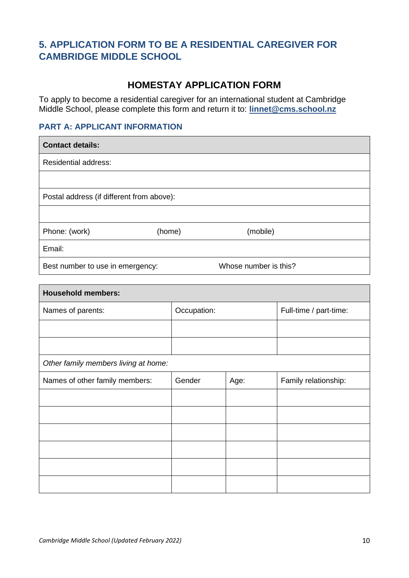# **5. APPLICATION FORM TO BE A RESIDENTIAL CAREGIVER FOR CAMBRIDGE MIDDLE SCHOOL**

# **HOMESTAY APPLICATION FORM**

To apply to become a residential caregiver for an international student at Cambridge Middle School, please complete this form and return it to: **[linnet@cms.school.nz](mailto:linnet@cms.school.nz)**

# **PART A: APPLICANT INFORMATION**

| <b>Contact details:</b>                   |        |                       |  |
|-------------------------------------------|--------|-----------------------|--|
| <b>Residential address:</b>               |        |                       |  |
|                                           |        |                       |  |
| Postal address (if different from above): |        |                       |  |
|                                           |        |                       |  |
| Phone: (work)                             | (home) | (mobile)              |  |
| Email:                                    |        |                       |  |
| Best number to use in emergency:          |        | Whose number is this? |  |

| <b>Household members:</b>            |             |      |                        |
|--------------------------------------|-------------|------|------------------------|
| Names of parents:                    | Occupation: |      | Full-time / part-time: |
|                                      |             |      |                        |
|                                      |             |      |                        |
| Other family members living at home: |             |      |                        |
| Names of other family members:       | Gender      | Age: | Family relationship:   |
|                                      |             |      |                        |
|                                      |             |      |                        |
|                                      |             |      |                        |
|                                      |             |      |                        |
|                                      |             |      |                        |
|                                      |             |      |                        |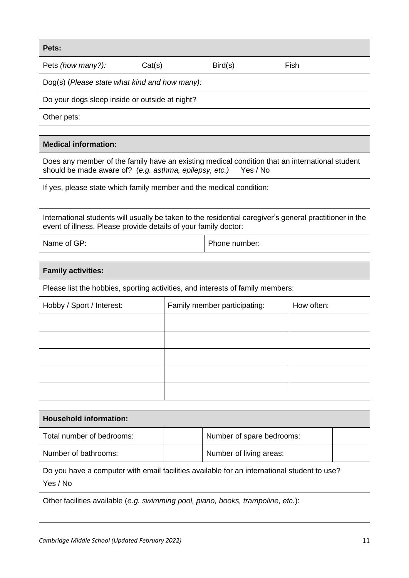| Pets:                                          |        |         |      |  |
|------------------------------------------------|--------|---------|------|--|
| Pets (how many?):                              | Cat(s) | Bird(s) | Fish |  |
| Dog(s) (Please state what kind and how many):  |        |         |      |  |
| Do your dogs sleep inside or outside at night? |        |         |      |  |
| Other pets:                                    |        |         |      |  |

# **Medical information:**

Does any member of the family have an existing medical condition that an international student should be made aware of? (*e.g. asthma, epilepsy, etc.)* Yes / No

If yes, please state which family member and the medical condition:

International students will usually be taken to the residential caregiver's general practitioner in the event of illness. Please provide details of your family doctor:

Name of GP: Phone number:

| <b>Family activities:</b>                                                      |  |  |  |  |
|--------------------------------------------------------------------------------|--|--|--|--|
| Please list the hobbies, sporting activities, and interests of family members: |  |  |  |  |
| How often:<br>Family member participating:<br>Hobby / Sport / Interest:        |  |  |  |  |
|                                                                                |  |  |  |  |
|                                                                                |  |  |  |  |
|                                                                                |  |  |  |  |
|                                                                                |  |  |  |  |
|                                                                                |  |  |  |  |

| <b>Household information:</b>                                                               |  |                           |  |
|---------------------------------------------------------------------------------------------|--|---------------------------|--|
| Total number of bedrooms:                                                                   |  | Number of spare bedrooms: |  |
| Number of bathrooms:<br>Number of living areas:                                             |  |                           |  |
| Do you have a computer with email facilities available for an international student to use? |  |                           |  |

Yes / No

Other facilities available (*e.g. swimming pool, piano, books, trampoline, etc.*):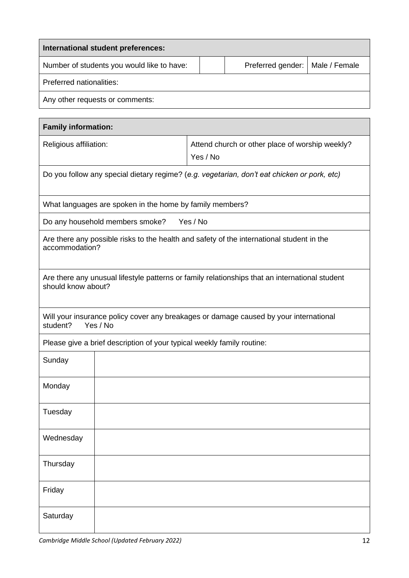| International student preferences:         |  |                                   |  |  |
|--------------------------------------------|--|-----------------------------------|--|--|
| Number of students you would like to have: |  | Preferred gender:   Male / Female |  |  |
| Preferred nationalities:                   |  |                                   |  |  |
| Any other requests or comments:            |  |                                   |  |  |

|                                                                        | <b>Family information:</b>                               |                                                                                                |  |  |
|------------------------------------------------------------------------|----------------------------------------------------------|------------------------------------------------------------------------------------------------|--|--|
| Religious affiliation:                                                 |                                                          | Attend church or other place of worship weekly?<br>Yes / No                                    |  |  |
|                                                                        |                                                          | Do you follow any special dietary regime? (e.g. vegetarian, don't eat chicken or pork, etc)    |  |  |
|                                                                        | What languages are spoken in the home by family members? |                                                                                                |  |  |
|                                                                        | Do any household members smoke?                          | Yes / No                                                                                       |  |  |
| accommodation?                                                         |                                                          | Are there any possible risks to the health and safety of the international student in the      |  |  |
| should know about?                                                     |                                                          | Are there any unusual lifestyle patterns or family relationships that an international student |  |  |
| student?                                                               | Yes / No                                                 | Will your insurance policy cover any breakages or damage caused by your international          |  |  |
| Please give a brief description of your typical weekly family routine: |                                                          |                                                                                                |  |  |
| Sunday                                                                 |                                                          |                                                                                                |  |  |
| Monday                                                                 |                                                          |                                                                                                |  |  |
| Tuesday                                                                |                                                          |                                                                                                |  |  |
| Wednesday                                                              |                                                          |                                                                                                |  |  |
| Thursday                                                               |                                                          |                                                                                                |  |  |
| Friday                                                                 |                                                          |                                                                                                |  |  |
| Saturday                                                               |                                                          |                                                                                                |  |  |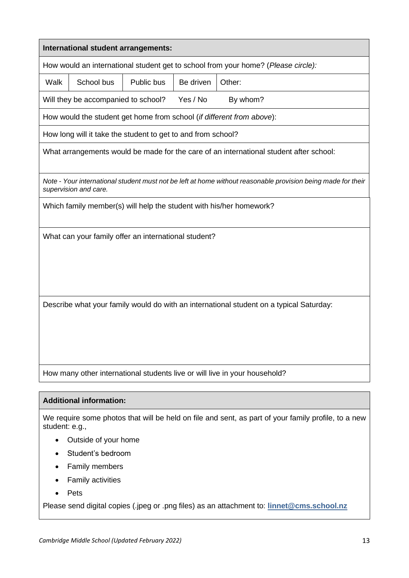|                                                                            | International student arrangements:                          |            |           |                                                                                                              |
|----------------------------------------------------------------------------|--------------------------------------------------------------|------------|-----------|--------------------------------------------------------------------------------------------------------------|
|                                                                            |                                                              |            |           | How would an international student get to school from your home? (Please circle):                            |
| Walk                                                                       | School bus                                                   | Public bus | Be driven | Other:                                                                                                       |
|                                                                            | Will they be accompanied to school?                          |            | Yes / No  | By whom?                                                                                                     |
|                                                                            |                                                              |            |           | How would the student get home from school (if different from above):                                        |
|                                                                            | How long will it take the student to get to and from school? |            |           |                                                                                                              |
|                                                                            |                                                              |            |           | What arrangements would be made for the care of an international student after school:                       |
|                                                                            | supervision and care.                                        |            |           | Note - Your international student must not be left at home without reasonable provision being made for their |
| Which family member(s) will help the student with his/her homework?        |                                                              |            |           |                                                                                                              |
| What can your family offer an international student?                       |                                                              |            |           |                                                                                                              |
|                                                                            |                                                              |            |           |                                                                                                              |
|                                                                            |                                                              |            |           |                                                                                                              |
|                                                                            |                                                              |            |           |                                                                                                              |
|                                                                            |                                                              |            |           | Describe what your family would do with an international student on a typical Saturday:                      |
|                                                                            |                                                              |            |           |                                                                                                              |
|                                                                            |                                                              |            |           |                                                                                                              |
|                                                                            |                                                              |            |           |                                                                                                              |
| How many other international students live or will live in your household? |                                                              |            |           |                                                                                                              |
|                                                                            |                                                              |            |           |                                                                                                              |
| <b>Additional information:</b>                                             |                                                              |            |           |                                                                                                              |

We require some photos that will be held on file and sent, as part of your family profile, to a new student: e.g.,

- Outside of your home
- Student's bedroom
- Family members
- Family activities
- Pets

Please send digital copies (.jpeg or .png files) as an attachment to: **[linnet@cms.school.nz](mailto:linnet@cms.school.nz)**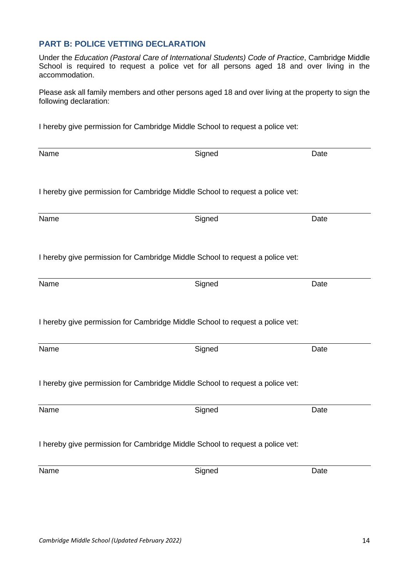# **PART B: POLICE VETTING DECLARATION**

Under the *Education (Pastoral Care of International Students) Code of Practice*, Cambridge Middle School is required to request a police vet for all persons aged 18 and over living in the accommodation.

Please ask all family members and other persons aged 18 and over living at the property to sign the following declaration:

I hereby give permission for Cambridge Middle School to request a police vet:

| Name                                                                          | Signed                                                                        | Date |  |  |
|-------------------------------------------------------------------------------|-------------------------------------------------------------------------------|------|--|--|
|                                                                               | I hereby give permission for Cambridge Middle School to request a police vet: |      |  |  |
| Name                                                                          | Signed                                                                        | Date |  |  |
|                                                                               | I hereby give permission for Cambridge Middle School to request a police vet: |      |  |  |
| Name                                                                          | Signed                                                                        | Date |  |  |
|                                                                               | I hereby give permission for Cambridge Middle School to request a police vet: |      |  |  |
| Name                                                                          | Signed                                                                        | Date |  |  |
|                                                                               | I hereby give permission for Cambridge Middle School to request a police vet: |      |  |  |
| Name                                                                          | Signed                                                                        | Date |  |  |
| I hereby give permission for Cambridge Middle School to request a police vet: |                                                                               |      |  |  |
| Name                                                                          | Signed                                                                        | Date |  |  |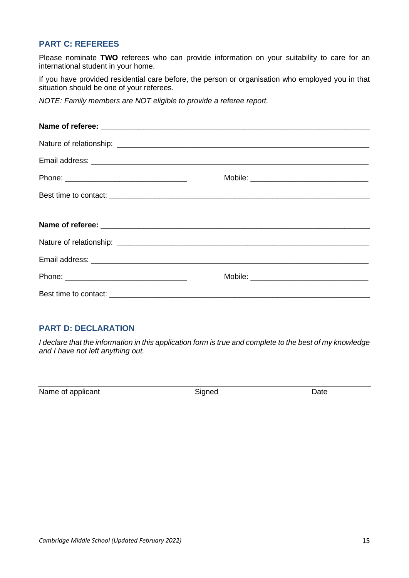# **PART C: REFEREES**

Please nominate **TWO** referees who can provide information on your suitability to care for an international student in your home.

If you have provided residential care before, the person or organisation who employed you in that situation should be one of your referees.

*NOTE: Family members are NOT eligible to provide a referee report.*

| Mobile: __________________________________ |
|--------------------------------------------|
|                                            |
|                                            |
|                                            |
|                                            |
|                                            |
|                                            |

# **PART D: DECLARATION**

*I declare that the information in this application form is true and complete to the best of my knowledge and I have not left anything out.*

Name of applicant and the Signed Signed Date Date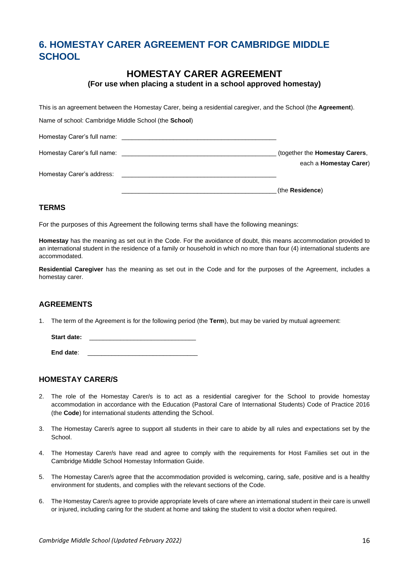# **6. HOMESTAY CARER AGREEMENT FOR CAMBRIDGE MIDDLE SCHOOL**

# **HOMESTAY CARER AGREEMENT**

**(For use when placing a student in a school approved homestay)**

This is an agreement between the Homestay Carer, being a residential caregiver, and the School (the **Agreement**).

Name of school: Cambridge Middle School (the **School**)

| Homestay Carer's full name:<br><u> 1980 - John Stein, Amerikaansk politiker (* 1980)</u>          |                                                                          |
|---------------------------------------------------------------------------------------------------|--------------------------------------------------------------------------|
| Homestay Carer's full name:<br><u> 1980 - Jan Samuel Barbara, margaret eta idazlea (h. 1980).</u> | (together the <b>Homestay Carers</b> ,<br>each a <b>Homestay Carer</b> ) |
| Homestay Carer's address:                                                                         |                                                                          |
|                                                                                                   | (the Residence)                                                          |

### **TERMS**

For the purposes of this Agreement the following terms shall have the following meanings:

**Homestay** has the meaning as set out in the Code. For the avoidance of doubt, this means accommodation provided to an international student in the residence of a family or household in which no more than four (4) international students are accommodated.

**Residential Caregiver** has the meaning as set out in the Code and for the purposes of the Agreement, includes a homestay carer.

### **AGREEMENTS**

1. The term of the Agreement is for the following period (the **Term**), but may be varied by mutual agreement:

Start date:

**End date:** 

### **HOMESTAY CARER/S**

- 2. The role of the Homestay Carer/s is to act as a residential caregiver for the School to provide homestay accommodation in accordance with the Education (Pastoral Care of International Students) Code of Practice 2016 (the **Code**) for international students attending the School.
- 3. The Homestay Carer/s agree to support all students in their care to abide by all rules and expectations set by the School.
- 4. The Homestay Carer/s have read and agree to comply with the requirements for Host Families set out in the Cambridge Middle School Homestay Information Guide.
- 5. The Homestay Carer/s agree that the accommodation provided is welcoming, caring, safe, positive and is a healthy environment for students, and complies with the relevant sections of the Code.
- 6. The Homestay Carer/s agree to provide appropriate levels of care where an international student in their care is unwell or injured, including caring for the student at home and taking the student to visit a doctor when required.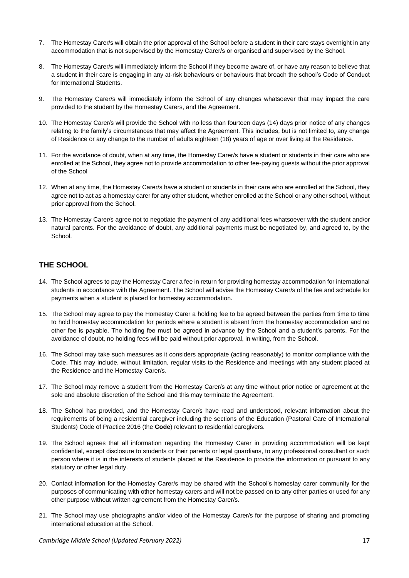- 7. The Homestay Carer/s will obtain the prior approval of the School before a student in their care stays overnight in any accommodation that is not supervised by the Homestay Carer/s or organised and supervised by the School.
- 8. The Homestay Carer/s will immediately inform the School if they become aware of, or have any reason to believe that a student in their care is engaging in any at-risk behaviours or behaviours that breach the school's Code of Conduct for International Students.
- 9. The Homestay Carer/s will immediately inform the School of any changes whatsoever that may impact the care provided to the student by the Homestay Carers, and the Agreement.
- 10. The Homestay Carer/s will provide the School with no less than fourteen days (14) days prior notice of any changes relating to the family's circumstances that may affect the Agreement. This includes, but is not limited to, any change of Residence or any change to the number of adults eighteen (18) years of age or over living at the Residence.
- 11. For the avoidance of doubt, when at any time, the Homestay Carer/s have a student or students in their care who are enrolled at the School, they agree not to provide accommodation to other fee-paying guests without the prior approval of the School
- 12. When at any time, the Homestay Carer/s have a student or students in their care who are enrolled at the School, they agree not to act as a homestay carer for any other student, whether enrolled at the School or any other school, without prior approval from the School.
- 13. The Homestay Carer/s agree not to negotiate the payment of any additional fees whatsoever with the student and/or natural parents. For the avoidance of doubt, any additional payments must be negotiated by, and agreed to, by the **School.**

### **THE SCHOOL**

- 14. The School agrees to pay the Homestay Carer a fee in return for providing homestay accommodation for international students in accordance with the Agreement. The School will advise the Homestay Carer/s of the fee and schedule for payments when a student is placed for homestay accommodation.
- 15. The School may agree to pay the Homestay Carer a holding fee to be agreed between the parties from time to time to hold homestay accommodation for periods where a student is absent from the homestay accommodation and no other fee is payable. The holding fee must be agreed in advance by the School and a student's parents. For the avoidance of doubt, no holding fees will be paid without prior approval, in writing, from the School.
- 16. The School may take such measures as it considers appropriate (acting reasonably) to monitor compliance with the Code. This may include, without limitation, regular visits to the Residence and meetings with any student placed at the Residence and the Homestay Carer/s.
- 17. The School may remove a student from the Homestay Carer/s at any time without prior notice or agreement at the sole and absolute discretion of the School and this may terminate the Agreement.
- 18. The School has provided, and the Homestay Carer/s have read and understood, relevant information about the requirements of being a residential caregiver including the sections of the Education (Pastoral Care of International Students) Code of Practice 2016 (the **Code**) relevant to residential caregivers.
- 19. The School agrees that all information regarding the Homestay Carer in providing accommodation will be kept confidential, except disclosure to students or their parents or legal guardians, to any professional consultant or such person where it is in the interests of students placed at the Residence to provide the information or pursuant to any statutory or other legal duty.
- 20. Contact information for the Homestay Carer/s may be shared with the School's homestay carer community for the purposes of communicating with other homestay carers and will not be passed on to any other parties or used for any other purpose without written agreement from the Homestay Carer/s.
- 21. The School may use photographs and/or video of the Homestay Carer/s for the purpose of sharing and promoting international education at the School.